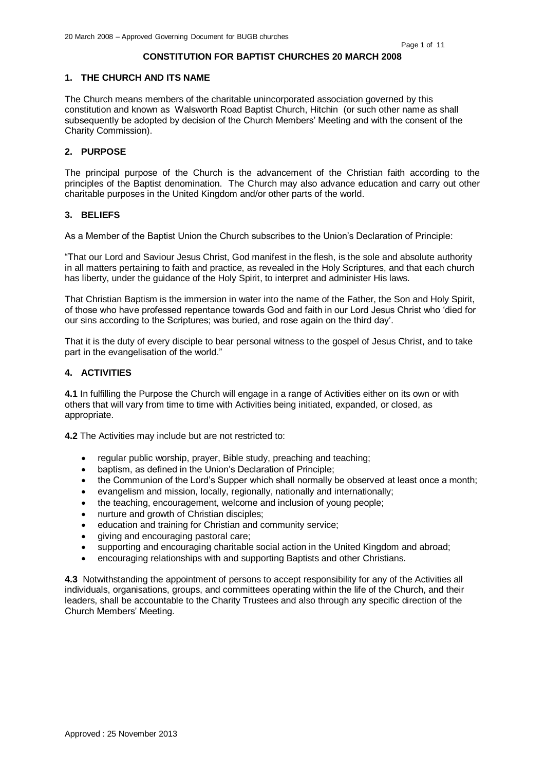#### **CONSTITUTION FOR BAPTIST CHURCHES 20 MARCH 2008**

#### **1. THE CHURCH AND ITS NAME**

The Church means members of the charitable unincorporated association governed by this constitution and known as Walsworth Road Baptist Church, Hitchin (or such other name as shall subsequently be adopted by decision of the Church Members' Meeting and with the consent of the Charity Commission).

# **2. PURPOSE**

The principal purpose of the Church is the advancement of the Christian faith according to the principles of the Baptist denomination. The Church may also advance education and carry out other charitable purposes in the United Kingdom and/or other parts of the world.

## **3. BELIEFS**

As a Member of the Baptist Union the Church subscribes to the Union's Declaration of Principle:

"That our Lord and Saviour Jesus Christ, God manifest in the flesh, is the sole and absolute authority in all matters pertaining to faith and practice, as revealed in the Holy Scriptures, and that each church has liberty, under the guidance of the Holy Spirit, to interpret and administer His laws.

That Christian Baptism is the immersion in water into the name of the Father, the Son and Holy Spirit, of those who have professed repentance towards God and faith in our Lord Jesus Christ who 'died for our sins according to the Scriptures; was buried, and rose again on the third day'.

That it is the duty of every disciple to bear personal witness to the gospel of Jesus Christ, and to take part in the evangelisation of the world."

### **4. ACTIVITIES**

**4.1** In fulfilling the Purpose the Church will engage in a range of Activities either on its own or with others that will vary from time to time with Activities being initiated, expanded, or closed, as appropriate.

**4.2** The Activities may include but are not restricted to:

- regular public worship, prayer, Bible study, preaching and teaching;
- baptism, as defined in the Union's Declaration of Principle;
- the Communion of the Lord's Supper which shall normally be observed at least once a month;
- evangelism and mission, locally, regionally, nationally and internationally;
- the teaching, encouragement, welcome and inclusion of young people;
- nurture and growth of Christian disciples;
- education and training for Christian and community service;
- giving and encouraging pastoral care;
- supporting and encouraging charitable social action in the United Kingdom and abroad;
- encouraging relationships with and supporting Baptists and other Christians.

**4.3** Notwithstanding the appointment of persons to accept responsibility for any of the Activities all individuals, organisations, groups, and committees operating within the life of the Church, and their leaders, shall be accountable to the Charity Trustees and also through any specific direction of the Church Members' Meeting.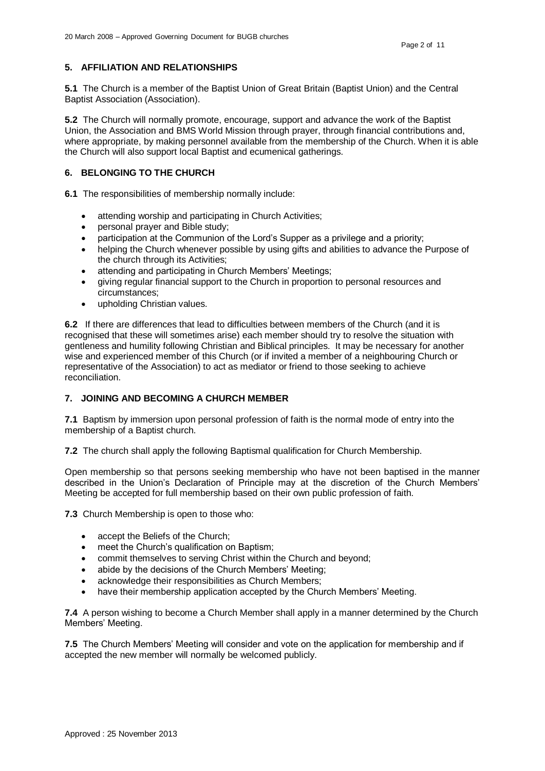# **5. AFFILIATION AND RELATIONSHIPS**

**5.1** The Church is a member of the Baptist Union of Great Britain (Baptist Union) and the Central Baptist Association (Association).

**5.2** The Church will normally promote, encourage, support and advance the work of the Baptist Union, the Association and BMS World Mission through prayer, through financial contributions and, where appropriate, by making personnel available from the membership of the Church. When it is able the Church will also support local Baptist and ecumenical gatherings.

# **6. BELONGING TO THE CHURCH**

**6.1** The responsibilities of membership normally include:

- attending worship and participating in Church Activities;
- personal prayer and Bible study;
- participation at the Communion of the Lord's Supper as a privilege and a priority;
- helping the Church whenever possible by using gifts and abilities to advance the Purpose of the church through its Activities;
- attending and participating in Church Members' Meetings;
- giving regular financial support to the Church in proportion to personal resources and circumstances;
- upholding Christian values.

**6.2** If there are differences that lead to difficulties between members of the Church (and it is recognised that these will sometimes arise) each member should try to resolve the situation with gentleness and humility following Christian and Biblical principles. It may be necessary for another wise and experienced member of this Church (or if invited a member of a neighbouring Church or representative of the Association) to act as mediator or friend to those seeking to achieve reconciliation.

# **7. JOINING AND BECOMING A CHURCH MEMBER**

**7.1** Baptism by immersion upon personal profession of faith is the normal mode of entry into the membership of a Baptist church.

**7.2** The church shall apply the following Baptismal qualification for Church Membership.

Open membership so that persons seeking membership who have not been baptised in the manner described in the Union's Declaration of Principle may at the discretion of the Church Members' Meeting be accepted for full membership based on their own public profession of faith.

**7.3** Church Membership is open to those who:

- accept the Beliefs of the Church;
- meet the Church's qualification on Baptism:
- commit themselves to serving Christ within the Church and beyond;
- abide by the decisions of the Church Members' Meeting;
- acknowledge their responsibilities as Church Members;
- have their membership application accepted by the Church Members' Meeting.

**7.4** A person wishing to become a Church Member shall apply in a manner determined by the Church Members' Meeting.

**7.5** The Church Members' Meeting will consider and vote on the application for membership and if accepted the new member will normally be welcomed publicly.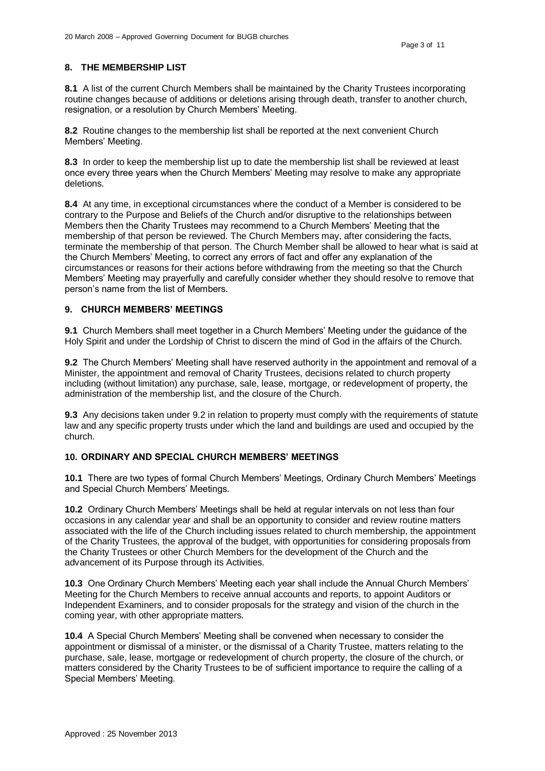# **8. THE MEMBERSHIP LIST**

**8.1** A list of the current Church Members shall be maintained by the Charity Trustees incorporating routine changes because of additions or deletions arising through death, transfer to another church, resignation, or a resolution by Church Members' Meeting.

**8.2** Routine changes to the membership list shall be reported at the next convenient Church Members' Meeting.

**8.3** In order to keep the membership list up to date the membership list shall be reviewed at least once every three years when the Church Members' Meeting may resolve to make any appropriate deletions.

**8.4** At any time, in exceptional circumstances where the conduct of a Member is considered to be contrary to the Purpose and Beliefs of the Church and/or disruptive to the relationships between Members then the Charity Trustees may recommend to a Church Members' Meeting that the membership of that person be reviewed. The Church Members may, after considering the facts, terminate the membership of that person. The Church Member shall be allowed to hear what is said at the Church Members' Meeting, to correct any errors of fact and offer any explanation of the circumstances or reasons for their actions before withdrawing from the meeting so that the Church Members' Meeting may prayerfully and carefully consider whether they should resolve to remove that person's name from the list of Members.

# **9. CHURCH MEMBERS' MEETINGS**

**9.1** Church Members shall meet together in a Church Members' Meeting under the guidance of the Holy Spirit and under the Lordship of Christ to discern the mind of God in the affairs of the Church.

**9.2** The Church Members' Meeting shall have reserved authority in the appointment and removal of a Minister, the appointment and removal of Charity Trustees, decisions related to church property including (without limitation) any purchase, sale, lease, mortgage, or redevelopment of property, the administration of the membership list, and the closure of the Church.

**9.3** Any decisions taken under 9.2 in relation to property must comply with the requirements of statute law and any specific property trusts under which the land and buildings are used and occupied by the church.

# **10. ORDINARY AND SPECIAL CHURCH MEMBERS' MEETINGS**

**10.1** There are two types of formal Church Members' Meetings, Ordinary Church Members' Meetings and Special Church Members' Meetings.

**10.2** Ordinary Church Members' Meetings shall be held at regular intervals on not less than four occasions in any calendar year and shall be an opportunity to consider and review routine matters associated with the life of the Church including issues related to church membership, the appointment of the Charity Trustees, the approval of the budget, with opportunities for considering proposals from the Charity Trustees or other Church Members for the development of the Church and the advancement of its Purpose through its Activities.

**10.3** One Ordinary Church Members' Meeting each year shall include the Annual Church Members' Meeting for the Church Members to receive annual accounts and reports, to appoint Auditors or Independent Examiners, and to consider proposals for the strategy and vision of the church in the coming year, with other appropriate matters.

**10.4** A Special Church Members' Meeting shall be convened when necessary to consider the appointment or dismissal of a minister, or the dismissal of a Charity Trustee, matters relating to the purchase, sale, lease, mortgage or redevelopment of church property, the closure of the church, or matters considered by the Charity Trustees to be of sufficient importance to require the calling of a Special Members' Meeting.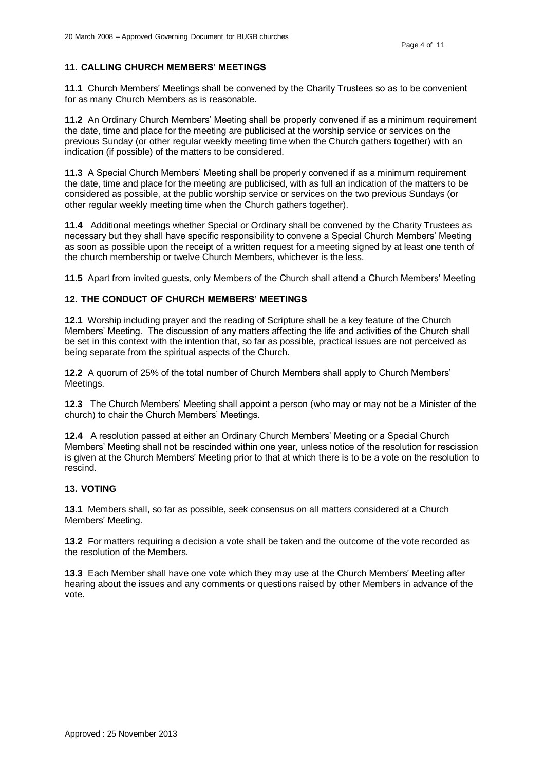## **11. CALLING CHURCH MEMBERS' MEETINGS**

**11.1** Church Members' Meetings shall be convened by the Charity Trustees so as to be convenient for as many Church Members as is reasonable.

**11.2** An Ordinary Church Members' Meeting shall be properly convened if as a minimum requirement the date, time and place for the meeting are publicised at the worship service or services on the previous Sunday (or other regular weekly meeting time when the Church gathers together) with an indication (if possible) of the matters to be considered.

**11.3** A Special Church Members' Meeting shall be properly convened if as a minimum requirement the date, time and place for the meeting are publicised, with as full an indication of the matters to be considered as possible, at the public worship service or services on the two previous Sundays (or other regular weekly meeting time when the Church gathers together).

**11.4** Additional meetings whether Special or Ordinary shall be convened by the Charity Trustees as necessary but they shall have specific responsibility to convene a Special Church Members' Meeting as soon as possible upon the receipt of a written request for a meeting signed by at least one tenth of the church membership or twelve Church Members, whichever is the less.

**11.5** Apart from invited guests, only Members of the Church shall attend a Church Members' Meeting

# **12. THE CONDUCT OF CHURCH MEMBERS' MEETINGS**

**12.1** Worship including prayer and the reading of Scripture shall be a key feature of the Church Members' Meeting. The discussion of any matters affecting the life and activities of the Church shall be set in this context with the intention that, so far as possible, practical issues are not perceived as being separate from the spiritual aspects of the Church.

**12.2** A quorum of 25% of the total number of Church Members shall apply to Church Members' Meetings.

**12.3** The Church Members' Meeting shall appoint a person (who may or may not be a Minister of the church) to chair the Church Members' Meetings.

**12.4** A resolution passed at either an Ordinary Church Members' Meeting or a Special Church Members' Meeting shall not be rescinded within one year, unless notice of the resolution for rescission is given at the Church Members' Meeting prior to that at which there is to be a vote on the resolution to rescind.

### **13. VOTING**

**13.1** Members shall, so far as possible, seek consensus on all matters considered at a Church Members' Meeting.

**13.2** For matters requiring a decision a vote shall be taken and the outcome of the vote recorded as the resolution of the Members.

**13.3** Each Member shall have one vote which they may use at the Church Members' Meeting after hearing about the issues and any comments or questions raised by other Members in advance of the vote.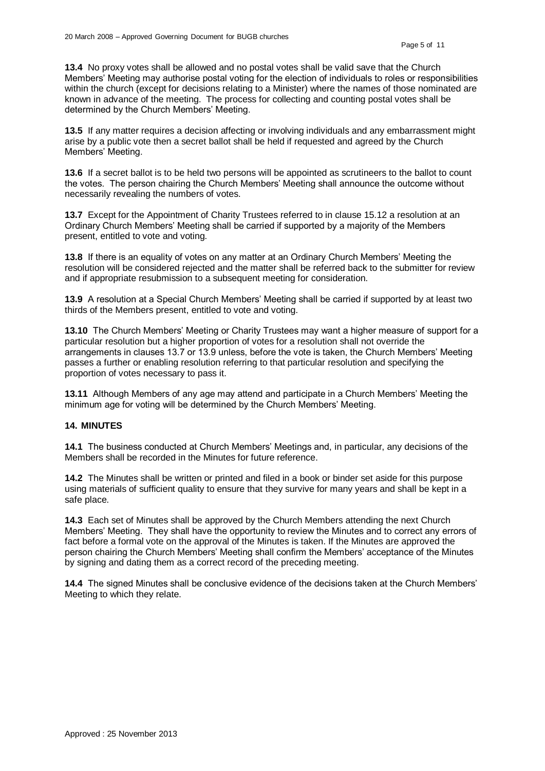**13.4** No proxy votes shall be allowed and no postal votes shall be valid save that the Church Members' Meeting may authorise postal voting for the election of individuals to roles or responsibilities within the church (except for decisions relating to a Minister) where the names of those nominated are known in advance of the meeting. The process for collecting and counting postal votes shall be determined by the Church Members' Meeting.

**13.5** If any matter requires a decision affecting or involving individuals and any embarrassment might arise by a public vote then a secret ballot shall be held if requested and agreed by the Church Members' Meeting.

**13.6** If a secret ballot is to be held two persons will be appointed as scrutineers to the ballot to count the votes. The person chairing the Church Members' Meeting shall announce the outcome without necessarily revealing the numbers of votes.

**13.7** Except for the Appointment of Charity Trustees referred to in clause 15.12 a resolution at an Ordinary Church Members' Meeting shall be carried if supported by a majority of the Members present, entitled to vote and voting.

**13.8** If there is an equality of votes on any matter at an Ordinary Church Members' Meeting the resolution will be considered rejected and the matter shall be referred back to the submitter for review and if appropriate resubmission to a subsequent meeting for consideration.

**13.9** A resolution at a Special Church Members' Meeting shall be carried if supported by at least two thirds of the Members present, entitled to vote and voting.

**13.10** The Church Members' Meeting or Charity Trustees may want a higher measure of support for a particular resolution but a higher proportion of votes for a resolution shall not override the arrangements in clauses 13.7 or 13.9 unless, before the vote is taken, the Church Members' Meeting passes a further or enabling resolution referring to that particular resolution and specifying the proportion of votes necessary to pass it.

**13.11** Although Members of any age may attend and participate in a Church Members' Meeting the minimum age for voting will be determined by the Church Members' Meeting.

# **14. MINUTES**

**14.1** The business conducted at Church Members' Meetings and, in particular, any decisions of the Members shall be recorded in the Minutes for future reference.

**14.2** The Minutes shall be written or printed and filed in a book or binder set aside for this purpose using materials of sufficient quality to ensure that they survive for many years and shall be kept in a safe place.

**14.3** Each set of Minutes shall be approved by the Church Members attending the next Church Members' Meeting. They shall have the opportunity to review the Minutes and to correct any errors of fact before a formal vote on the approval of the Minutes is taken. If the Minutes are approved the person chairing the Church Members' Meeting shall confirm the Members' acceptance of the Minutes by signing and dating them as a correct record of the preceding meeting.

**14.4** The signed Minutes shall be conclusive evidence of the decisions taken at the Church Members' Meeting to which they relate.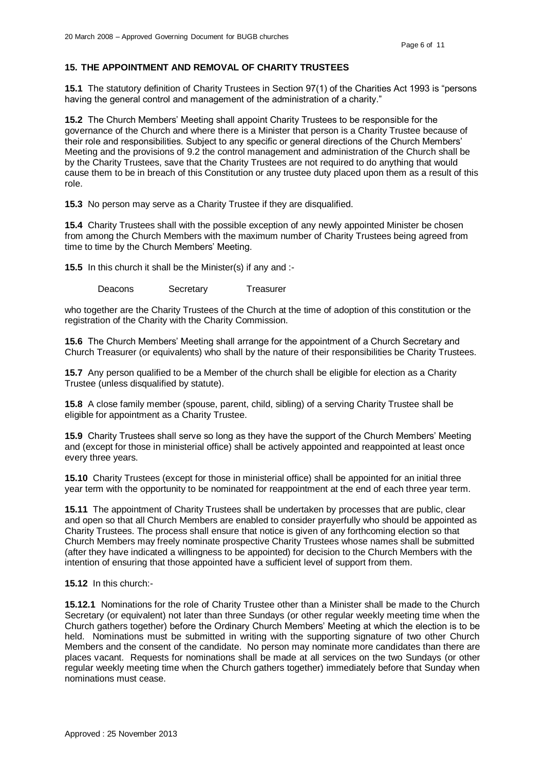# **15. THE APPOINTMENT AND REMOVAL OF CHARITY TRUSTEES**

**15.1** The statutory definition of Charity Trustees in Section 97(1) of the Charities Act 1993 is "persons having the general control and management of the administration of a charity."

**15.2** The Church Members' Meeting shall appoint Charity Trustees to be responsible for the governance of the Church and where there is a Minister that person is a Charity Trustee because of their role and responsibilities. Subject to any specific or general directions of the Church Members' Meeting and the provisions of 9.2 the control management and administration of the Church shall be by the Charity Trustees, save that the Charity Trustees are not required to do anything that would cause them to be in breach of this Constitution or any trustee duty placed upon them as a result of this role.

**15.3** No person may serve as a Charity Trustee if they are disqualified.

**15.4** Charity Trustees shall with the possible exception of any newly appointed Minister be chosen from among the Church Members with the maximum number of Charity Trustees being agreed from time to time by the Church Members' Meeting.

**15.5** In this church it shall be the Minister(s) if any and :-

Deacons Secretary Treasurer

who together are the Charity Trustees of the Church at the time of adoption of this constitution or the registration of the Charity with the Charity Commission.

**15.6** The Church Members' Meeting shall arrange for the appointment of a Church Secretary and Church Treasurer (or equivalents) who shall by the nature of their responsibilities be Charity Trustees.

**15.7** Any person qualified to be a Member of the church shall be eligible for election as a Charity Trustee (unless disqualified by statute).

**15.8** A close family member (spouse, parent, child, sibling) of a serving Charity Trustee shall be eligible for appointment as a Charity Trustee.

**15.9** Charity Trustees shall serve so long as they have the support of the Church Members' Meeting and (except for those in ministerial office) shall be actively appointed and reappointed at least once every three years.

**15.10** Charity Trustees (except for those in ministerial office) shall be appointed for an initial three year term with the opportunity to be nominated for reappointment at the end of each three year term.

**15.11** The appointment of Charity Trustees shall be undertaken by processes that are public, clear and open so that all Church Members are enabled to consider prayerfully who should be appointed as Charity Trustees. The process shall ensure that notice is given of any forthcoming election so that Church Members may freely nominate prospective Charity Trustees whose names shall be submitted (after they have indicated a willingness to be appointed) for decision to the Church Members with the intention of ensuring that those appointed have a sufficient level of support from them.

#### **15.12** In this church:-

**15.12.1** Nominations for the role of Charity Trustee other than a Minister shall be made to the Church Secretary (or equivalent) not later than three Sundays (or other regular weekly meeting time when the Church gathers together) before the Ordinary Church Members' Meeting at which the election is to be held. Nominations must be submitted in writing with the supporting signature of two other Church Members and the consent of the candidate. No person may nominate more candidates than there are places vacant. Requests for nominations shall be made at all services on the two Sundays (or other regular weekly meeting time when the Church gathers together) immediately before that Sunday when nominations must cease.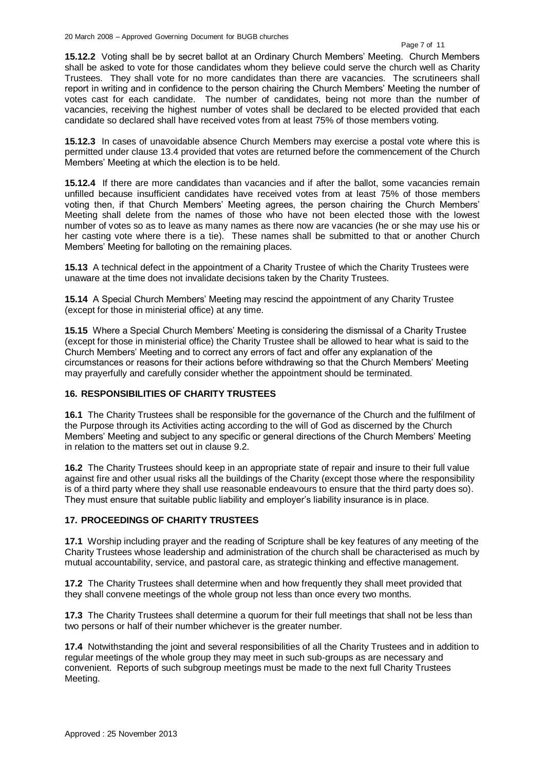#### Page 7 of 11

**15.12.2** Voting shall be by secret ballot at an Ordinary Church Members' Meeting. Church Members shall be asked to vote for those candidates whom they believe could serve the church well as Charity Trustees. They shall vote for no more candidates than there are vacancies. The scrutineers shall report in writing and in confidence to the person chairing the Church Members' Meeting the number of votes cast for each candidate. The number of candidates, being not more than the number of vacancies, receiving the highest number of votes shall be declared to be elected provided that each candidate so declared shall have received votes from at least 75% of those members voting.

**15.12.3** In cases of unavoidable absence Church Members may exercise a postal vote where this is permitted under clause 13.4 provided that votes are returned before the commencement of the Church Members' Meeting at which the election is to be held.

**15.12.4** If there are more candidates than vacancies and if after the ballot, some vacancies remain unfilled because insufficient candidates have received votes from at least 75% of those members voting then, if that Church Members' Meeting agrees, the person chairing the Church Members' Meeting shall delete from the names of those who have not been elected those with the lowest number of votes so as to leave as many names as there now are vacancies (he or she may use his or her casting vote where there is a tie). These names shall be submitted to that or another Church Members' Meeting for balloting on the remaining places.

**15.13** A technical defect in the appointment of a Charity Trustee of which the Charity Trustees were unaware at the time does not invalidate decisions taken by the Charity Trustees.

**15.14** A Special Church Members' Meeting may rescind the appointment of any Charity Trustee (except for those in ministerial office) at any time.

**15.15** Where a Special Church Members' Meeting is considering the dismissal of a Charity Trustee (except for those in ministerial office) the Charity Trustee shall be allowed to hear what is said to the Church Members' Meeting and to correct any errors of fact and offer any explanation of the circumstances or reasons for their actions before withdrawing so that the Church Members' Meeting may prayerfully and carefully consider whether the appointment should be terminated.

# **16. RESPONSIBILITIES OF CHARITY TRUSTEES**

**16.1** The Charity Trustees shall be responsible for the governance of the Church and the fulfilment of the Purpose through its Activities acting according to the will of God as discerned by the Church Members' Meeting and subject to any specific or general directions of the Church Members' Meeting in relation to the matters set out in clause 9.2.

**16.2** The Charity Trustees should keep in an appropriate state of repair and insure to their full value against fire and other usual risks all the buildings of the Charity (except those where the responsibility is of a third party where they shall use reasonable endeavours to ensure that the third party does so). They must ensure that suitable public liability and employer's liability insurance is in place.

# **17. PROCEEDINGS OF CHARITY TRUSTEES**

**17.1** Worship including prayer and the reading of Scripture shall be key features of any meeting of the Charity Trustees whose leadership and administration of the church shall be characterised as much by mutual accountability, service, and pastoral care, as strategic thinking and effective management.

**17.2** The Charity Trustees shall determine when and how frequently they shall meet provided that they shall convene meetings of the whole group not less than once every two months.

**17.3** The Charity Trustees shall determine a quorum for their full meetings that shall not be less than two persons or half of their number whichever is the greater number.

**17.4** Notwithstanding the joint and several responsibilities of all the Charity Trustees and in addition to regular meetings of the whole group they may meet in such sub-groups as are necessary and convenient. Reports of such subgroup meetings must be made to the next full Charity Trustees Meeting.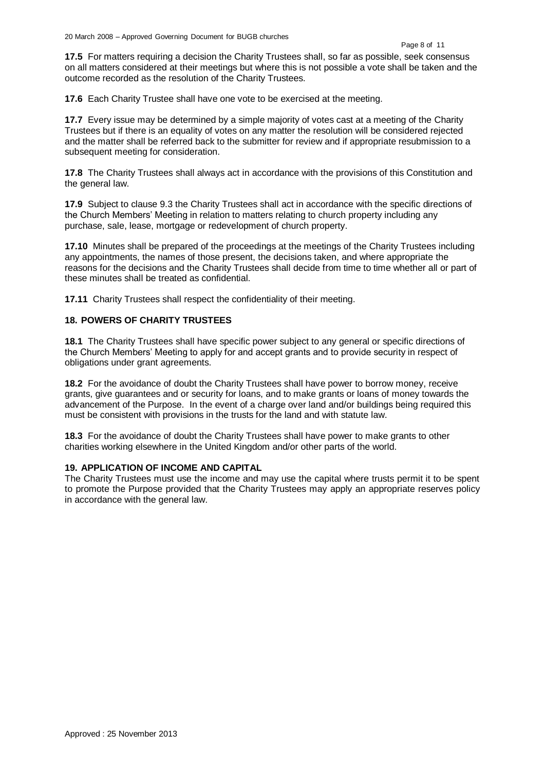**17.5** For matters requiring a decision the Charity Trustees shall, so far as possible, seek consensus on all matters considered at their meetings but where this is not possible a vote shall be taken and the outcome recorded as the resolution of the Charity Trustees.

**17.6** Each Charity Trustee shall have one vote to be exercised at the meeting.

**17.7** Every issue may be determined by a simple majority of votes cast at a meeting of the Charity Trustees but if there is an equality of votes on any matter the resolution will be considered rejected and the matter shall be referred back to the submitter for review and if appropriate resubmission to a subsequent meeting for consideration.

**17.8** The Charity Trustees shall always act in accordance with the provisions of this Constitution and the general law.

**17.9** Subject to clause 9.3 the Charity Trustees shall act in accordance with the specific directions of the Church Members' Meeting in relation to matters relating to church property including any purchase, sale, lease, mortgage or redevelopment of church property.

**17.10** Minutes shall be prepared of the proceedings at the meetings of the Charity Trustees including any appointments, the names of those present, the decisions taken, and where appropriate the reasons for the decisions and the Charity Trustees shall decide from time to time whether all or part of these minutes shall be treated as confidential.

**17.11** Charity Trustees shall respect the confidentiality of their meeting.

### **18. POWERS OF CHARITY TRUSTEES**

**18.1** The Charity Trustees shall have specific power subject to any general or specific directions of the Church Members' Meeting to apply for and accept grants and to provide security in respect of obligations under grant agreements.

**18.2** For the avoidance of doubt the Charity Trustees shall have power to borrow money, receive grants, give guarantees and or security for loans, and to make grants or loans of money towards the advancement of the Purpose. In the event of a charge over land and/or buildings being required this must be consistent with provisions in the trusts for the land and with statute law.

**18.3** For the avoidance of doubt the Charity Trustees shall have power to make grants to other charities working elsewhere in the United Kingdom and/or other parts of the world.

### **19. APPLICATION OF INCOME AND CAPITAL**

The Charity Trustees must use the income and may use the capital where trusts permit it to be spent to promote the Purpose provided that the Charity Trustees may apply an appropriate reserves policy in accordance with the general law.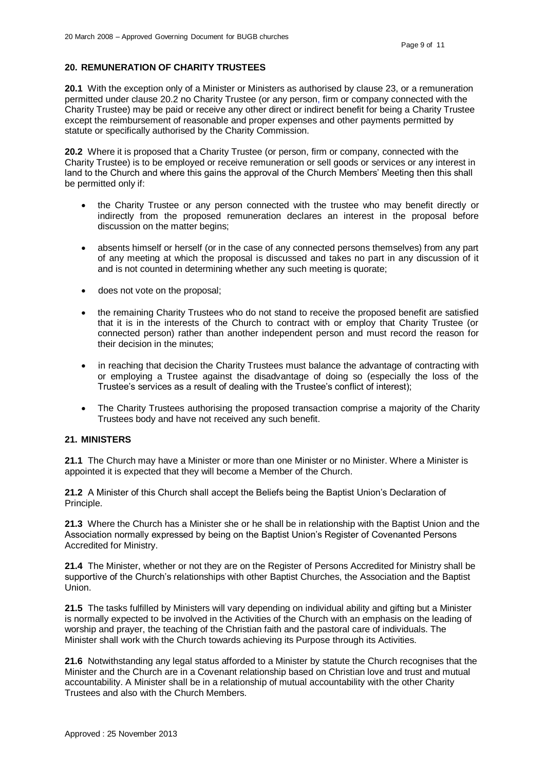# **20. REMUNERATION OF CHARITY TRUSTEES**

**20.1** With the exception only of a Minister or Ministers as authorised by clause 23, or a remuneration permitted under clause 20.2 no Charity Trustee (or any person, firm or company connected with the Charity Trustee) may be paid or receive any other direct or indirect benefit for being a Charity Trustee except the reimbursement of reasonable and proper expenses and other payments permitted by statute or specifically authorised by the Charity Commission.

**20.2** Where it is proposed that a Charity Trustee (or person, firm or company, connected with the Charity Trustee) is to be employed or receive remuneration or sell goods or services or any interest in land to the Church and where this gains the approval of the Church Members' Meeting then this shall be permitted only if:

- the Charity Trustee or any person connected with the trustee who may benefit directly or indirectly from the proposed remuneration declares an interest in the proposal before discussion on the matter begins;
- absents himself or herself (or in the case of any connected persons themselves) from any part of any meeting at which the proposal is discussed and takes no part in any discussion of it and is not counted in determining whether any such meeting is quorate;
- does not vote on the proposal;
- the remaining Charity Trustees who do not stand to receive the proposed benefit are satisfied that it is in the interests of the Church to contract with or employ that Charity Trustee (or connected person) rather than another independent person and must record the reason for their decision in the minutes;
- in reaching that decision the Charity Trustees must balance the advantage of contracting with or employing a Trustee against the disadvantage of doing so (especially the loss of the Trustee's services as a result of dealing with the Trustee's conflict of interest);
- The Charity Trustees authorising the proposed transaction comprise a majority of the Charity Trustees body and have not received any such benefit.

### **21. MINISTERS**

**21.1** The Church may have a Minister or more than one Minister or no Minister. Where a Minister is appointed it is expected that they will become a Member of the Church.

**21.2** A Minister of this Church shall accept the Beliefs being the Baptist Union's Declaration of Principle.

**21.3** Where the Church has a Minister she or he shall be in relationship with the Baptist Union and the Association normally expressed by being on the Baptist Union's Register of Covenanted Persons Accredited for Ministry.

**21.4** The Minister, whether or not they are on the Register of Persons Accredited for Ministry shall be supportive of the Church's relationships with other Baptist Churches, the Association and the Baptist Union.

**21.5** The tasks fulfilled by Ministers will vary depending on individual ability and gifting but a Minister is normally expected to be involved in the Activities of the Church with an emphasis on the leading of worship and prayer, the teaching of the Christian faith and the pastoral care of individuals. The Minister shall work with the Church towards achieving its Purpose through its Activities.

**21.6** Notwithstanding any legal status afforded to a Minister by statute the Church recognises that the Minister and the Church are in a Covenant relationship based on Christian love and trust and mutual accountability. A Minister shall be in a relationship of mutual accountability with the other Charity Trustees and also with the Church Members.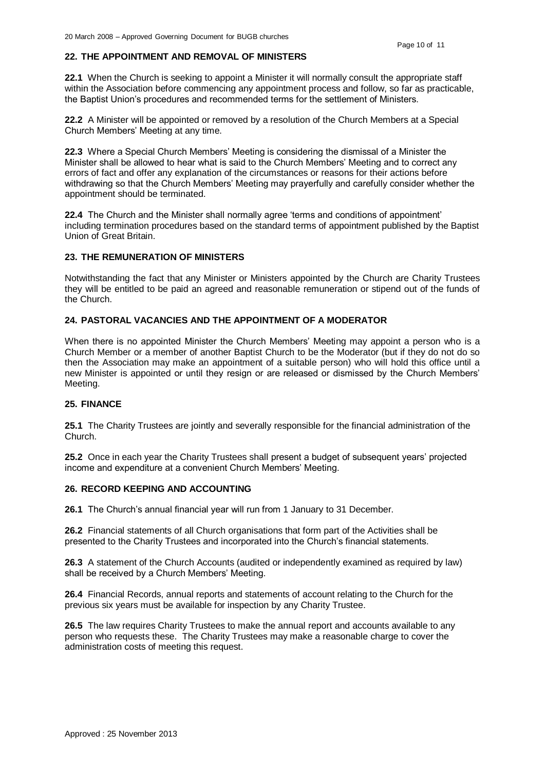# **22. THE APPOINTMENT AND REMOVAL OF MINISTERS**

**22.1** When the Church is seeking to appoint a Minister it will normally consult the appropriate staff within the Association before commencing any appointment process and follow, so far as practicable, the Baptist Union's procedures and recommended terms for the settlement of Ministers.

**22.2** A Minister will be appointed or removed by a resolution of the Church Members at a Special Church Members' Meeting at any time.

**22.3** Where a Special Church Members' Meeting is considering the dismissal of a Minister the Minister shall be allowed to hear what is said to the Church Members' Meeting and to correct any errors of fact and offer any explanation of the circumstances or reasons for their actions before withdrawing so that the Church Members' Meeting may prayerfully and carefully consider whether the appointment should be terminated.

**22.4** The Church and the Minister shall normally agree 'terms and conditions of appointment' including termination procedures based on the standard terms of appointment published by the Baptist Union of Great Britain.

### **23. THE REMUNERATION OF MINISTERS**

Notwithstanding the fact that any Minister or Ministers appointed by the Church are Charity Trustees they will be entitled to be paid an agreed and reasonable remuneration or stipend out of the funds of the Church.

# **24. PASTORAL VACANCIES AND THE APPOINTMENT OF A MODERATOR**

When there is no appointed Minister the Church Members' Meeting may appoint a person who is a Church Member or a member of another Baptist Church to be the Moderator (but if they do not do so then the Association may make an appointment of a suitable person) who will hold this office until a new Minister is appointed or until they resign or are released or dismissed by the Church Members' Meeting.

### **25. FINANCE**

**25.1** The Charity Trustees are jointly and severally responsible for the financial administration of the Church.

**25.2** Once in each year the Charity Trustees shall present a budget of subsequent years' projected income and expenditure at a convenient Church Members' Meeting.

### **26. RECORD KEEPING AND ACCOUNTING**

**26.1** The Church's annual financial year will run from 1 January to 31 December.

**26.2** Financial statements of all Church organisations that form part of the Activities shall be presented to the Charity Trustees and incorporated into the Church's financial statements.

**26.3** A statement of the Church Accounts (audited or independently examined as required by law) shall be received by a Church Members' Meeting.

**26.4** Financial Records, annual reports and statements of account relating to the Church for the previous six years must be available for inspection by any Charity Trustee.

**26.5** The law requires Charity Trustees to make the annual report and accounts available to any person who requests these. The Charity Trustees may make a reasonable charge to cover the administration costs of meeting this request.